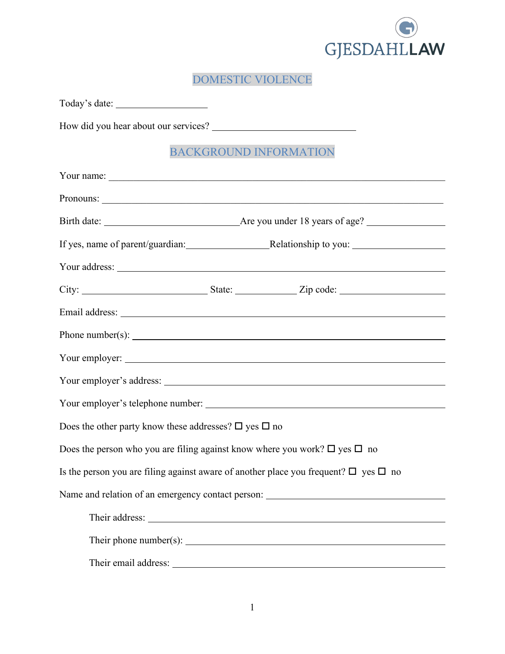

DOMESTIC VIOLENCE

| Today's date:                                                                        |                                                                                                                                                                                                                                                                                                                                                                                                                               |
|--------------------------------------------------------------------------------------|-------------------------------------------------------------------------------------------------------------------------------------------------------------------------------------------------------------------------------------------------------------------------------------------------------------------------------------------------------------------------------------------------------------------------------|
|                                                                                      |                                                                                                                                                                                                                                                                                                                                                                                                                               |
|                                                                                      | <b>BACKGROUND INFORMATION</b>                                                                                                                                                                                                                                                                                                                                                                                                 |
|                                                                                      |                                                                                                                                                                                                                                                                                                                                                                                                                               |
|                                                                                      |                                                                                                                                                                                                                                                                                                                                                                                                                               |
|                                                                                      |                                                                                                                                                                                                                                                                                                                                                                                                                               |
|                                                                                      | If yes, name of parent/guardian: Relationship to you: __________________________                                                                                                                                                                                                                                                                                                                                              |
|                                                                                      |                                                                                                                                                                                                                                                                                                                                                                                                                               |
|                                                                                      | City: $\frac{1}{\sqrt{1-\frac{1}{\sqrt{1-\frac{1}{\sqrt{1-\frac{1}{\sqrt{1-\frac{1}{\sqrt{1-\frac{1}{\sqrt{1-\frac{1}{\sqrt{1-\frac{1}{\sqrt{1-\frac{1}{\sqrt{1-\frac{1}{\sqrt{1-\frac{1}{\sqrt{1-\frac{1}{\sqrt{1-\frac{1}{\sqrt{1-\frac{1}{\sqrt{1-\frac{1}{\sqrt{1-\frac{1}{\sqrt{1-\frac{1}{\sqrt{1-\frac{1}{\sqrt{1-\frac{1}{\sqrt{1-\frac{1}{\sqrt{1-\frac{1}{\sqrt{1-\frac{1}{\sqrt{1-\frac{1}{\sqrt{1-\frac{1}{\sqrt$ |
|                                                                                      |                                                                                                                                                                                                                                                                                                                                                                                                                               |
|                                                                                      | Phone number(s): $\frac{1}{2}$ and $\frac{1}{2}$ and $\frac{1}{2}$ and $\frac{1}{2}$ and $\frac{1}{2}$ and $\frac{1}{2}$ and $\frac{1}{2}$ and $\frac{1}{2}$ and $\frac{1}{2}$ and $\frac{1}{2}$ and $\frac{1}{2}$ and $\frac{1}{2}$ and $\frac{1}{2}$ and $\frac{1}{2}$ and $\frac{1}{2}$                                                                                                                                    |
|                                                                                      |                                                                                                                                                                                                                                                                                                                                                                                                                               |
|                                                                                      |                                                                                                                                                                                                                                                                                                                                                                                                                               |
|                                                                                      |                                                                                                                                                                                                                                                                                                                                                                                                                               |
| Does the other party know these addresses? $\square$ yes $\square$ no                |                                                                                                                                                                                                                                                                                                                                                                                                                               |
| Does the person who you are filing against know where you work? $\Box$ yes $\Box$ no |                                                                                                                                                                                                                                                                                                                                                                                                                               |
|                                                                                      | Is the person you are filing against aware of another place you frequent? $\Box$ yes $\Box$ no                                                                                                                                                                                                                                                                                                                                |
|                                                                                      | Name and relation of an emergency contact person: _______________________________                                                                                                                                                                                                                                                                                                                                             |
|                                                                                      |                                                                                                                                                                                                                                                                                                                                                                                                                               |
|                                                                                      |                                                                                                                                                                                                                                                                                                                                                                                                                               |
| Their email address:                                                                 |                                                                                                                                                                                                                                                                                                                                                                                                                               |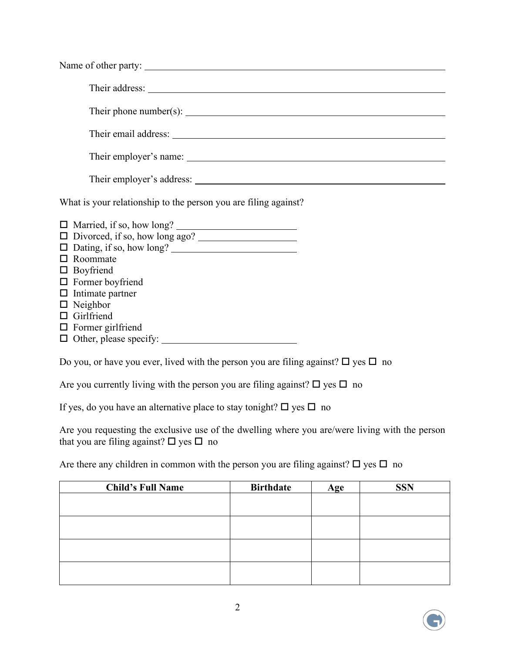| Their phone number(s): $\sqrt{\frac{2}{1-\frac{1}{2}} + \frac{1}{2-\frac{1}{2}}}$            |
|----------------------------------------------------------------------------------------------|
|                                                                                              |
|                                                                                              |
|                                                                                              |
| What is your relationship to the person you are filing against?                              |
|                                                                                              |
|                                                                                              |
|                                                                                              |
| $\Box$ Roommate                                                                              |
| $\Box$ Boyfriend                                                                             |
| $\Box$ Former boyfriend                                                                      |
| $\Box$ Intimate partner                                                                      |
| $\Box$ Neighbor                                                                              |
| $\Box$ Girlfriend                                                                            |
| $\Box$ Former girlfriend                                                                     |
|                                                                                              |
| Do you, or have you ever, lived with the person you are filing against? $\Box$ yes $\Box$ no |

Are you currently living with the person you are filing against?  $\Box$  yes  $\Box$  no

If yes, do you have an alternative place to stay tonight?  $\Box$  yes  $\Box$  no

Are you requesting the exclusive use of the dwelling where you are/were living with the person that you are filing against?  $\square$  yes  $\square$  no

Are there any children in common with the person you are filing against?  $\Box$  yes  $\Box$  no

| <b>Child's Full Name</b> | <b>Birthdate</b> | Age | <b>SSN</b> |
|--------------------------|------------------|-----|------------|
|                          |                  |     |            |
|                          |                  |     |            |
|                          |                  |     |            |
|                          |                  |     |            |
|                          |                  |     |            |
|                          |                  |     |            |
|                          |                  |     |            |
|                          |                  |     |            |

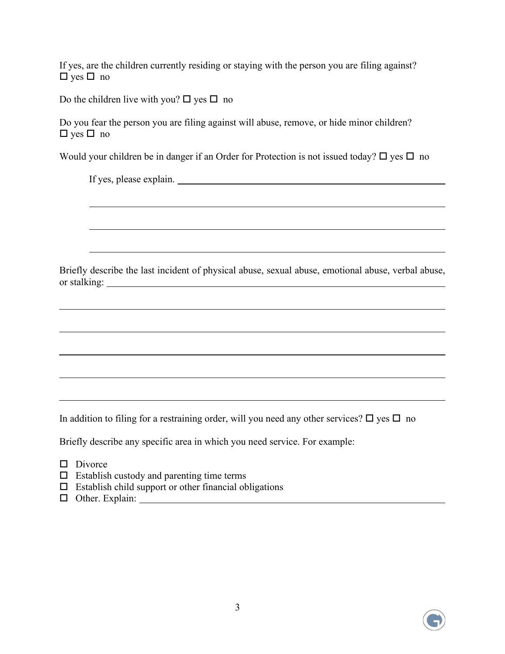If yes, are the children currently residing or staying with the person you are filing against?  $\Box$  yes  $\Box$  no

Do the children live with you?  $\Box$  yes  $\Box$  no

Do you fear the person you are filing against will abuse, remove, or hide minor children?  $\Box$  yes  $\Box$  no

Would your children be in danger if an Order for Protection is not issued today?  $\Box$  yes  $\Box$  no

| If yes, please explain.                                                                               |
|-------------------------------------------------------------------------------------------------------|
|                                                                                                       |
| ,我们也不会有什么。""我们的人,我们也不会有什么?""我们的人,我们也不会有什么?""我们的人,我们也不会有什么?""我们的人,我们也不会有什么?""我们的人                      |
|                                                                                                       |
| Briefly describe the last incident of physical abuse, sexual abuse, emotional abuse, verbal abuse,    |
|                                                                                                       |
| ,我们也不会有什么。""我们的人,我们也不会有什么?""我们的人,我们也不会有什么?""我们的人,我们也不会有什么?""我们的人,我们也不会有什么?""我们的人                      |
| ,我们也不会有什么。""我们的人,我们也不会有什么?""我们的人,我们也不会有什么?""我们的人,我们也不会有什么?""我们的人,我们也不会有什么?""我们的人                      |
|                                                                                                       |
|                                                                                                       |
| In addition to filing for a restraining order, will you need any other services? $\Box$ yes $\Box$ no |

Briefly describe any specific area in which you need service. For example:

- $\Box$  Divorce
- $\square$  Establish custody and parenting time terms
- $\square$  Establish child support or other financial obligations
- Other. Explain:

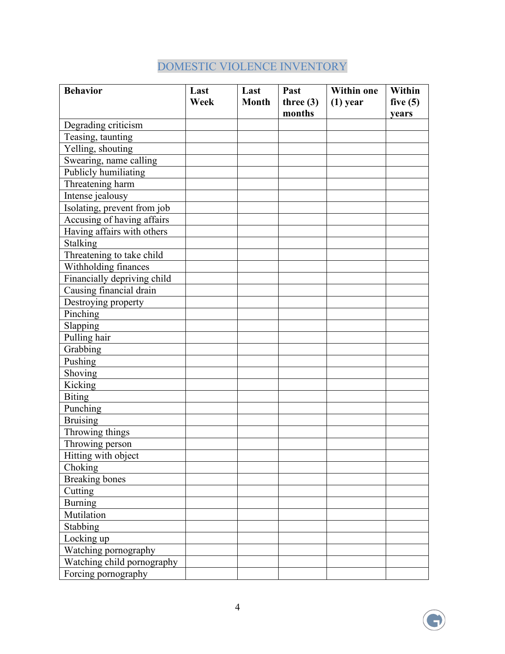## DOMESTIC VIOLENCE INVENTORY

| <b>Behavior</b>             | Last<br>Week | Last<br><b>Month</b> | Past<br>three $(3)$ | <b>Within one</b><br>$(1)$ year | Within<br>five $(5)$ |
|-----------------------------|--------------|----------------------|---------------------|---------------------------------|----------------------|
|                             |              |                      | months              |                                 | years                |
| Degrading criticism         |              |                      |                     |                                 |                      |
| Teasing, taunting           |              |                      |                     |                                 |                      |
| Yelling, shouting           |              |                      |                     |                                 |                      |
| Swearing, name calling      |              |                      |                     |                                 |                      |
| Publicly humiliating        |              |                      |                     |                                 |                      |
| Threatening harm            |              |                      |                     |                                 |                      |
| Intense jealousy            |              |                      |                     |                                 |                      |
| Isolating, prevent from job |              |                      |                     |                                 |                      |
| Accusing of having affairs  |              |                      |                     |                                 |                      |
| Having affairs with others  |              |                      |                     |                                 |                      |
| Stalking                    |              |                      |                     |                                 |                      |
| Threatening to take child   |              |                      |                     |                                 |                      |
| Withholding finances        |              |                      |                     |                                 |                      |
| Financially depriving child |              |                      |                     |                                 |                      |
| Causing financial drain     |              |                      |                     |                                 |                      |
| Destroying property         |              |                      |                     |                                 |                      |
| Pinching                    |              |                      |                     |                                 |                      |
| Slapping                    |              |                      |                     |                                 |                      |
| Pulling hair                |              |                      |                     |                                 |                      |
| Grabbing                    |              |                      |                     |                                 |                      |
| Pushing                     |              |                      |                     |                                 |                      |
| Shoving                     |              |                      |                     |                                 |                      |
| Kicking                     |              |                      |                     |                                 |                      |
| <b>Biting</b>               |              |                      |                     |                                 |                      |
| Punching                    |              |                      |                     |                                 |                      |
| <b>Bruising</b>             |              |                      |                     |                                 |                      |
| Throwing things             |              |                      |                     |                                 |                      |
| Throwing person             |              |                      |                     |                                 |                      |
| Hitting with object         |              |                      |                     |                                 |                      |
| Choking                     |              |                      |                     |                                 |                      |
| <b>Breaking bones</b>       |              |                      |                     |                                 |                      |
| Cutting                     |              |                      |                     |                                 |                      |
| <b>Burning</b>              |              |                      |                     |                                 |                      |
| Mutilation                  |              |                      |                     |                                 |                      |
| Stabbing                    |              |                      |                     |                                 |                      |
| Locking up                  |              |                      |                     |                                 |                      |
| Watching pornography        |              |                      |                     |                                 |                      |
| Watching child pornography  |              |                      |                     |                                 |                      |
| Forcing pornography         |              |                      |                     |                                 |                      |